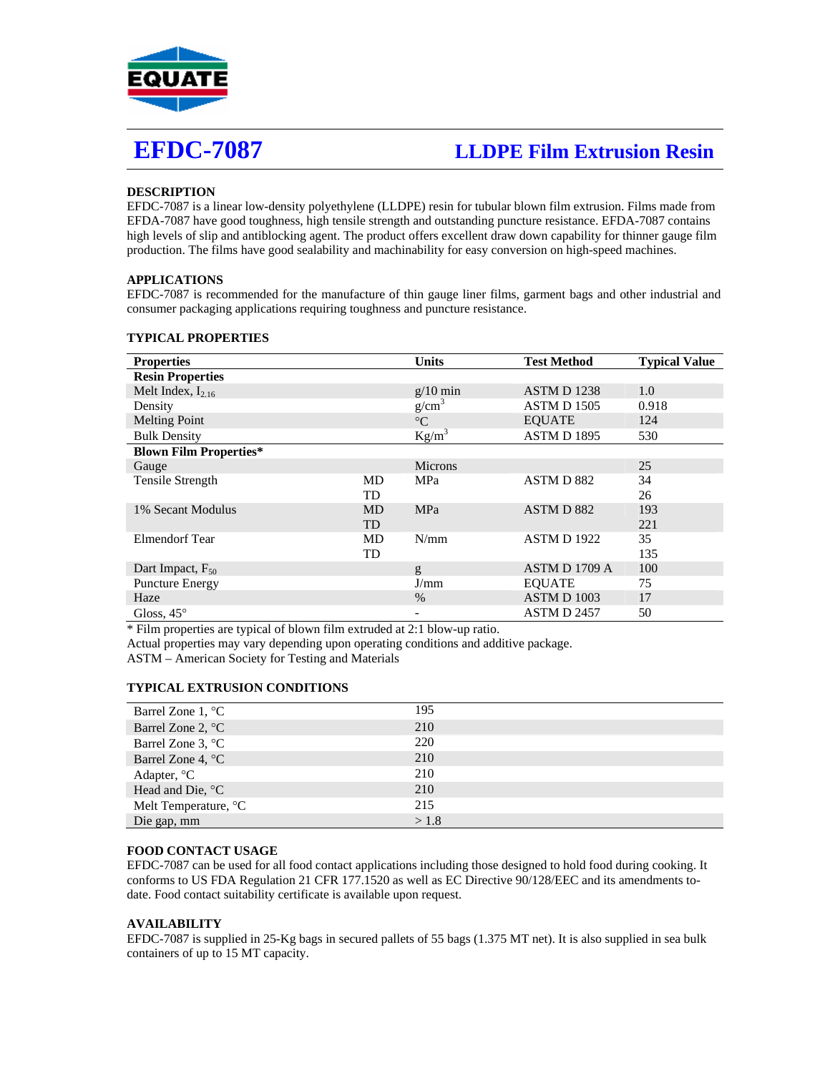

# **EFDC-7087 LLDPE Film Extrusion Resin**

# **DESCRIPTION**

EFDC-7087 is a linear low-density polyethylene (LLDPE) resin for tubular blown film extrusion. Films made from EFDA-7087 have good toughness, high tensile strength and outstanding puncture resistance. EFDA-7087 contains high levels of slip and antiblocking agent. The product offers excellent draw down capability for thinner gauge film production. The films have good sealability and machinability for easy conversion on high-speed machines.

## **APPLICATIONS**

EFDC-7087 is recommended for the manufacture of thin gauge liner films, garment bags and other industrial and consumer packaging applications requiring toughness and puncture resistance.

| <b>Properties</b>             |           | <b>Units</b>             | <b>Test Method</b> | <b>Typical Value</b> |
|-------------------------------|-----------|--------------------------|--------------------|----------------------|
| <b>Resin Properties</b>       |           |                          |                    |                      |
| Melt Index, $I_{2,16}$        |           | $g/10$ min               | <b>ASTM D 1238</b> | 1.0                  |
| Density                       |           | g/cm <sup>3</sup>        | <b>ASTM D 1505</b> | 0.918                |
| <b>Melting Point</b>          |           | $\rm ^{\circ}C$          | <b>EOUATE</b>      | 124                  |
| <b>Bulk Density</b>           |           | $Kg/m^3$                 | <b>ASTM D 1895</b> | 530                  |
| <b>Blown Film Properties*</b> |           |                          |                    |                      |
| Gauge                         |           | <b>Microns</b>           |                    | 25                   |
| Tensile Strength              | MD        | MPa                      | ASTM D 882         | 34                   |
|                               | TD        |                          |                    | 26                   |
| 1% Secant Modulus             | <b>MD</b> | <b>MPa</b>               | ASTM D 882         | 193                  |
|                               | <b>TD</b> |                          |                    | 221                  |
| Elmendorf Tear                | MD        | N/mm                     | ASTM D 1922        | 35                   |
|                               | TD        |                          |                    | 135                  |
| Dart Impact, $F_{50}$         |           | g                        | ASTM D 1709 A      | 100                  |
| <b>Puncture Energy</b>        |           | J/mm                     | <b>EQUATE</b>      | 75                   |
| Haze                          |           | $\%$                     | <b>ASTM D 1003</b> | 17                   |
| Gloss, $45^\circ$             |           | $\overline{\phantom{a}}$ | <b>ASTM D 2457</b> | 50                   |

#### **TYPICAL PROPERTIES**

\* Film properties are typical of blown film extruded at 2:1 blow-up ratio.

Actual properties may vary depending upon operating conditions and additive package.

ASTM – American Society for Testing and Materials

### **TYPICAL EXTRUSION CONDITIONS**

| Barrel Zone $1, \degree C$ | 195  |
|----------------------------|------|
| Barrel Zone 2, $^{\circ}C$ | 210  |
| Barrel Zone 3, °C          | 220  |
| Barrel Zone 4, °C          | 210  |
| Adapter, °C                | 210  |
| Head and Die, °C           | 210  |
| Melt Temperature, °C       | 215  |
| Die gap, mm                | >1.8 |

### **FOOD CONTACT USAGE**

EFDC-7087 can be used for all food contact applications including those designed to hold food during cooking. It conforms to US FDA Regulation 21 CFR 177.1520 as well as EC Directive 90/128/EEC and its amendments todate. Food contact suitability certificate is available upon request.

#### **AVAILABILITY**

EFDC-7087 is supplied in 25-Kg bags in secured pallets of 55 bags (1.375 MT net). It is also supplied in sea bulk containers of up to 15 MT capacity.